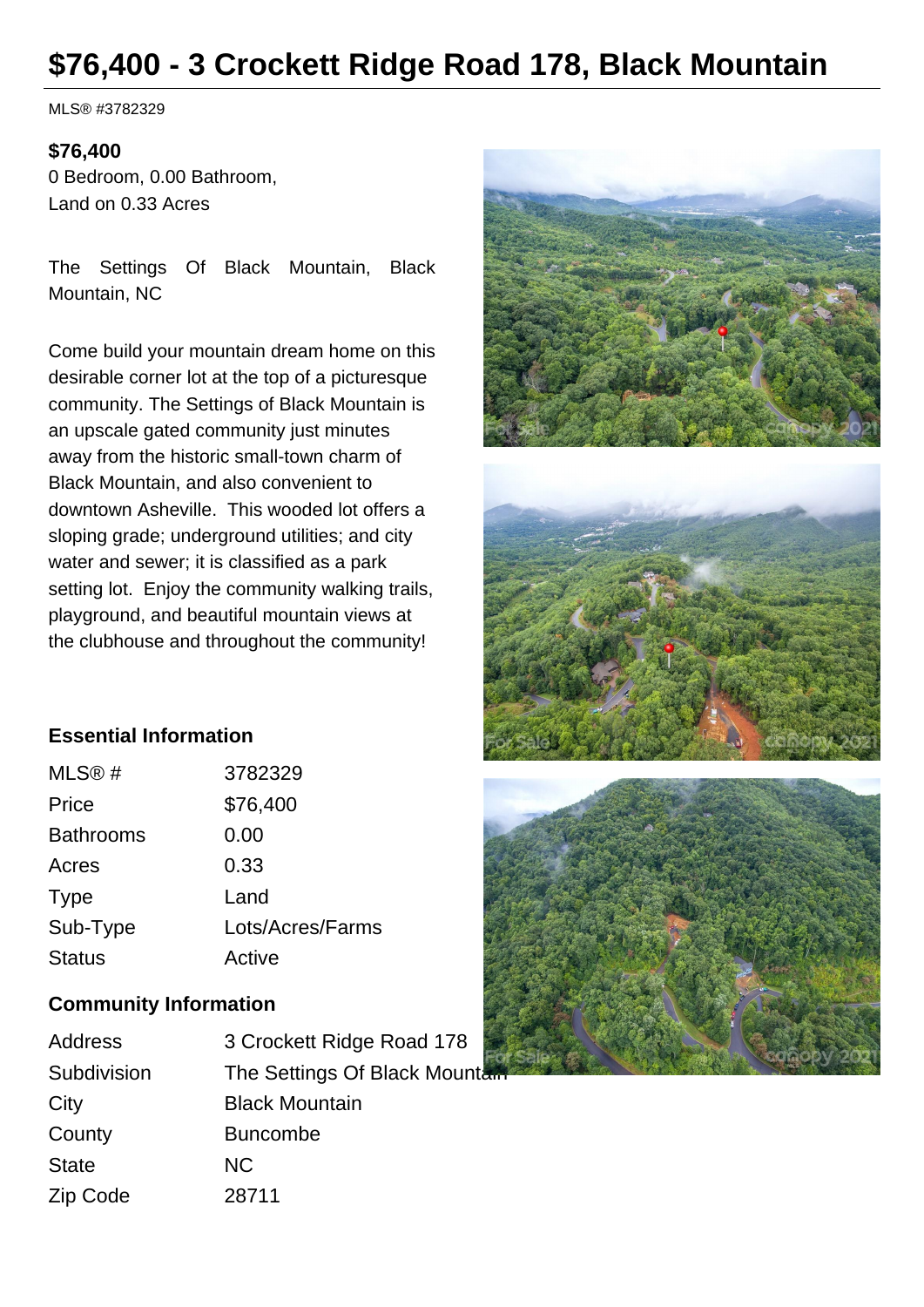# **\$76,400 - 3 Crockett Ridge Road 178, Black Mountain**

MLS® #3782329

#### **\$76,400**

0 Bedroom, 0.00 Bathroom, Land on 0.33 Acres

The Settings Of Black Mountain, Black Mountain, NC

Come build your mountain dream home on this desirable corner lot at the top of a picturesque community. The Settings of Black Mountain is an upscale gated community just minutes away from the historic small-town charm of Black Mountain, and also convenient to downtown Asheville. This wooded lot offers a sloping grade; underground utilities; and city water and sewer; it is classified as a park setting lot. Enjoy the community walking trails, playground, and beautiful mountain views at the clubhouse and throughout the community!



## **Essential Information**

| MLS@#            | 3782329          |
|------------------|------------------|
| Price            | \$76,400         |
| <b>Bathrooms</b> | 0.00             |
| Acres            | 0.33             |
| <b>Type</b>      | Land             |
| Sub-Type         | Lots/Acres/Farms |
| <b>Status</b>    | Active           |

#### **Community Information**

| Address      | 3 Crockett Ridge Road 178      |
|--------------|--------------------------------|
| Subdivision  | The Settings Of Black Mountain |
| City         | <b>Black Mountain</b>          |
| County       | <b>Buncombe</b>                |
| <b>State</b> | <b>NC</b>                      |
| Zip Code     | 28711                          |